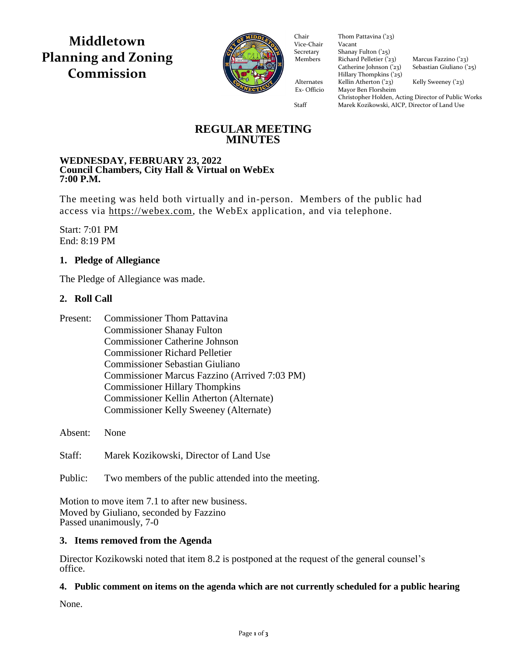**Middletown Planning and Zoning Commission**



Vice-Chair Vacant Secretary Shanay Fulton ('25) Members Richard Pelletier  $(23)$  Marcus Fazzino  $(23)$ Catherine Johnson ('23) Sebastian Giuliano ('25)  $\frac{1}{2}$  Hillary Thompkins ('25) Alternates Kellin Atherton ('23) Kelly Sweeney ('23) Ex- Officio Mayor Ben Florsheim Ex- Officio Mayor Ben Florsheim Chair Thom Pattavina ('23)<br>Vice-Chair Vacant

Christopher Holden, Acting Director of Public Works Staff Marek Kozikowski, AICP, Director of Land Use

# **REGULAR MEETING MINUTES**

#### **WEDNESDAY, FEBRUARY 23, 2022 Council Chambers, City Hall & Virtual on WebEx 7:00 P.M.**

The meeting was held both virtually and in-person. Members of the public had access via [https://webex.com,](https://webex.com/) the WebEx application, and via telephone.

Start: 7:01 PM End: 8:19 PM

# **1. Pledge of Allegiance**

The Pledge of Allegiance was made.

# **2. Roll Call**

| Present: | <b>Commissioner Thom Pattavina</b>            |
|----------|-----------------------------------------------|
|          | <b>Commissioner Shanay Fulton</b>             |
|          | <b>Commissioner Catherine Johnson</b>         |
|          | <b>Commissioner Richard Pelletier</b>         |
|          | Commissioner Sebastian Giuliano               |
|          | Commissioner Marcus Fazzino (Arrived 7:03 PM) |
|          | <b>Commissioner Hillary Thompkins</b>         |
|          | Commissioner Kellin Atherton (Alternate)      |
|          | Commissioner Kelly Sweeney (Alternate)        |
|          |                                               |

Absent: None

Staff: Marek Kozikowski, Director of Land Use

Public: Two members of the public attended into the meeting.

Motion to move item 7.1 to after new business. Moved by Giuliano, seconded by Fazzino Passed unanimously, 7-0

### **3. Items removed from the Agenda**

Director Kozikowski noted that item 8.2 is postponed at the request of the general counsel's office.

### **4. Public comment on items on the agenda which are not currently scheduled for a public hearing**

None.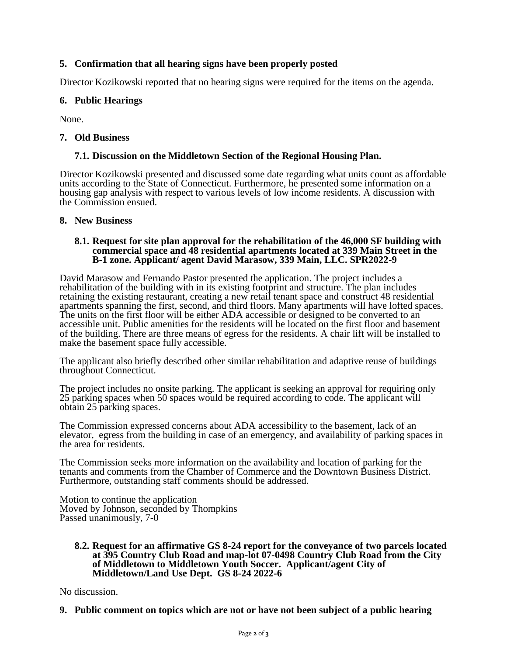### **5. Confirmation that all hearing signs have been properly posted**

Director Kozikowski reported that no hearing signs were required for the items on the agenda.

### **6. Public Hearings**

None.

#### **7. Old Business**

### **7.1. Discussion on the Middletown Section of the Regional Housing Plan.**

Director Kozikowski presented and discussed some date regarding what units count as affordable units according to the State of Connecticut. Furthermore, he presented some information on a housing gap analysis with respect to various levels of low income residents. A discussion with the Commission ensued.

#### **8. New Business**

#### **8.1. Request for site plan approval for the rehabilitation of the 46,000 SF building with commercial space and 48 residential apartments located at 339 Main Street in the B-1 zone. Applicant/ agent David Marasow, 339 Main, LLC. SPR2022-9**

David Marasow and Fernando Pastor presented the application. The project includes a rehabilitation of the building with in its existing footprint and structure. The plan includes retaining the existing restaurant, creating a new retail tenant space and construct 48 residential apartments spanning the first, second, and third floors. Many apartments will have lofted spaces. The units on the first floor will be either ADA accessible or designed to be converted to an accessible unit. Public amenities for the residents will be located on the first floor and basement of the building. There are three means of egress for the residents. A chair lift will be installed to make the basement space fully accessible.

The applicant also briefly described other similar rehabilitation and adaptive reuse of buildings throughout Connecticut.

The project includes no onsite parking. The applicant is seeking an approval for requiring only 25 parking spaces when 50 spaces would be required according to code. The applicant will obtain 25 parking spaces.

The Commission expressed concerns about ADA accessibility to the basement, lack of an elevator, egress from the building in case of an emergency, and availability of parking spaces in the area for residents.

The Commission seeks more information on the availability and location of parking for the tenants and comments from the Chamber of Commerce and the Downtown Business District. Furthermore, outstanding staff comments should be addressed.

Motion to continue the application Moved by Johnson, seconded by Thompkins Passed unanimously, 7-0

#### **8.2. Request for an affirmative GS 8-24 report for the conveyance of two parcels located at 395 Country Club Road and map-lot 07-0498 Country Club Road from the City of Middletown to Middletown Youth Soccer. Applicant/agent City of Middletown/Land Use Dept. GS 8-24 2022-6**

No discussion.

**9. Public comment on topics which are not or have not been subject of a public hearing**